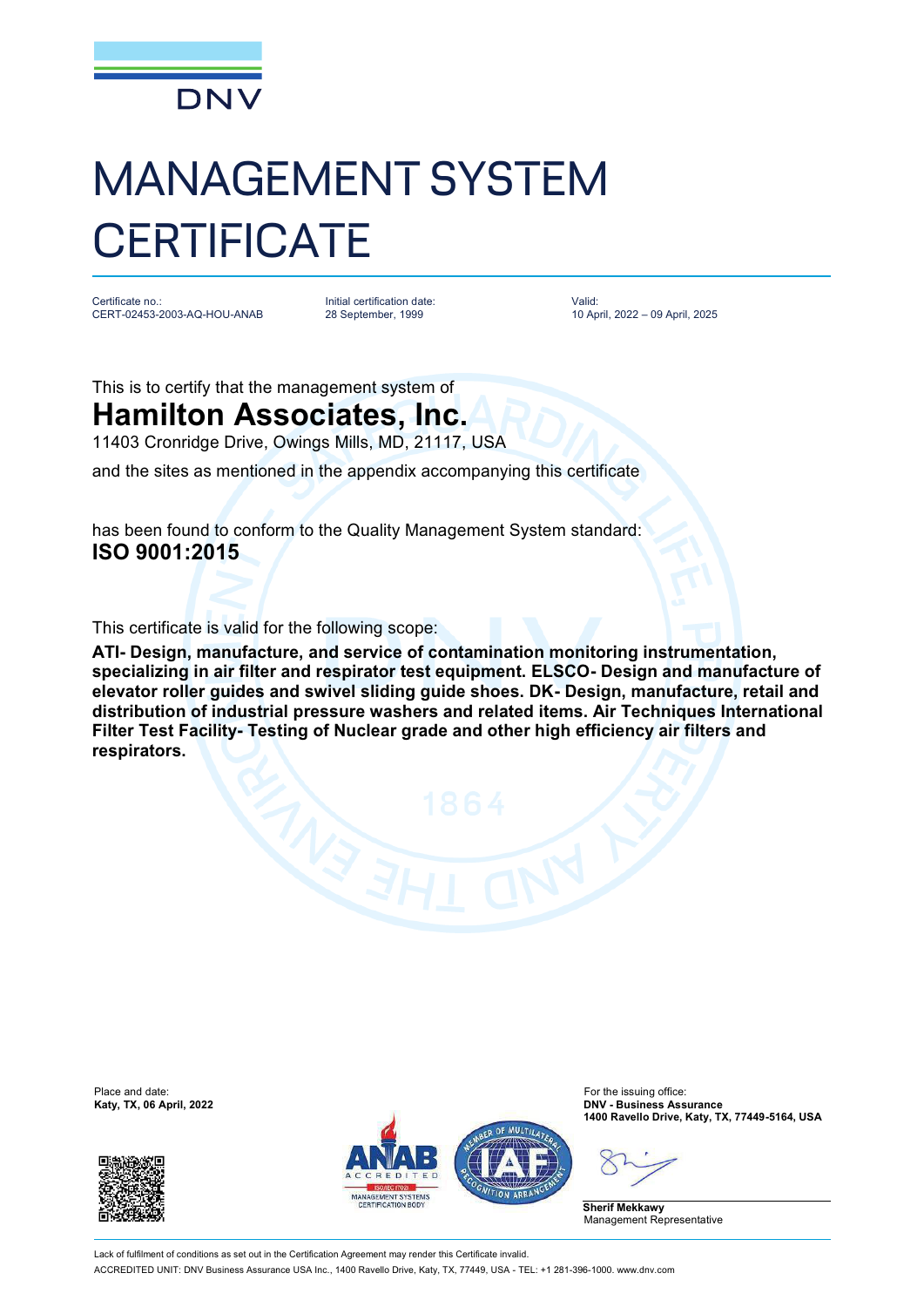

## MANAGEMENT SYSTEM **CERTIFICATE**

Certificate no.: CERT-02453-2003-AQ-HOU-ANAB Initial certification date: 28 September, 1999

Valid: 10 April, 2022 – 09 April, 2025

This is to certify that the management system of

## **Hamilton Associates, Inc.**

11403 Cronridge Drive, Owings Mills, MD, 21117, USA

and the sites as mentioned in the appendix accompanying this certificate

has been found to conform to the Quality Management System standard: **ISO 9001:2015**

This certificate is valid for the following scope:

**ATI- Design, manufacture, and service of contamination monitoring instrumentation, specializing in air filter and respirator test equipment. ELSCO- Design and manufacture of elevator roller guides and swivel sliding guide shoes. DK- Design, manufacture, retail and distribution of industrial pressure washers and related items. Air Techniques International Filter Test Facility- Testing of Nuclear grade and other high efficiency air filters and respirators.**







Place and date: For the issuing office: **Katy, TX, 06 April, 2022 DNV - Business Assurance 1400 Ravello Drive, Katy, TX, 77449-5164, USA**

**Sherif Mekkawy** Management Representative

Lack of fulfilment of conditions as set out in the Certification Agreement may render this Certificate invalid ACCREDITED UNIT: DNV Business Assurance USA Inc., 1400 Ravello Drive, Katy, TX, 77449, USA - TEL: +1 281-396-1000. [www.dnv.com](http://www.dnv.com)